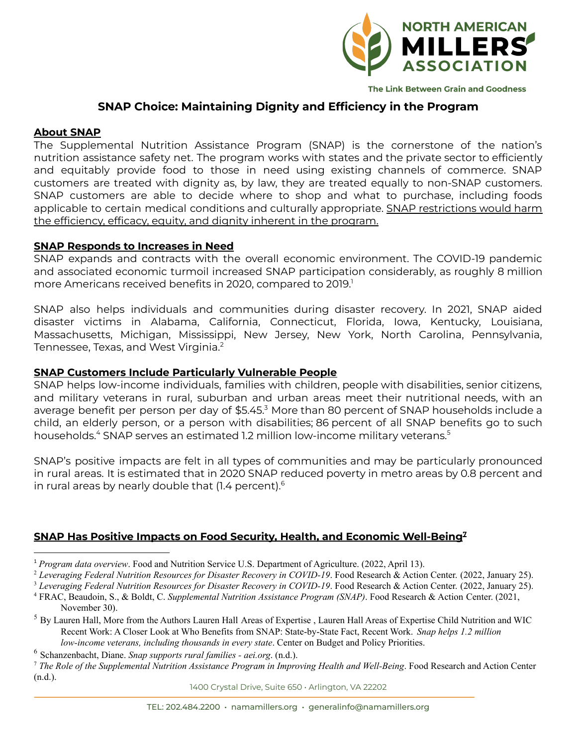

The Link Between Grain and Goodness

# **SNAP Choice: Maintaining Dignity and Efficiency in the Program**

# **About SNAP**

The Supplemental Nutrition Assistance Program (SNAP) is the cornerstone of the nation's nutrition assistance safety net. The program works with states and the private sector to efficiently and equitably provide food to those in need using existing channels of commerce. SNAP customers are treated with dignity as, by law, they are treated equally to non-SNAP customers. SNAP customers are able to decide where to shop and what to purchase, including foods applicable to certain medical conditions and culturally appropriate. SNAP restrictions would harm the efficiency, efficacy, equity, and dignity inherent in the program.

# **SNAP Responds to Increases in Need**

SNAP expands and contracts with the overall economic environment. The COVID-19 pandemic and associated economic turmoil increased SNAP participation considerably, as roughly 8 million more Americans received benefits in 2020, compared to 2019. 1

SNAP also helps individuals and communities during disaster recovery. In 2021, SNAP aided disaster victims in Alabama, California, Connecticut, Florida, Iowa, Kentucky, Louisiana, Massachusetts, Michigan, Mississippi, New Jersey, New York, North Carolina, Pennsylvania, Tennessee, Texas, and West Virginia. 2

# **SNAP Customers Include Particularly Vulnerable People**

SNAP helps low-income individuals, families with children, people with disabilities, senior citizens, and military veterans in rural, suburban and urban areas meet their nutritional needs, with an average benefit per person per day of  $$5.45<sup>3</sup>$  More than 80 percent of SNAP households include a child, an elderly person, or a person with disabilities; 86 percent of all SNAP benefits go to such households. <sup>4</sup> SNAP serves an estimated 1.2 million low-income military veterans. 5

SNAP's positive impacts are felt in all types of communities and may be particularly pronounced in rural areas. It is estimated that in 2020 SNAP reduced poverty in metro areas by 0.8 percent and in rural areas by nearly double that (1.4 percent). 6

# **SNAP Has Positive Impacts on Food Security, Health, and Economic Well-Being 7**

1400 Crystal Drive, Suite 650 • Arlington, VA 22202

<sup>1</sup> *Program data overview*. Food and Nutrition Service U.S. Department of Agriculture. (2022, April 13).

<sup>2</sup> *Leveraging Federal Nutrition Resources for Disaster Recovery in COVID-19*. Food Research & Action Center. (2022, January 25).

<sup>3</sup> *Leveraging Federal Nutrition Resources for Disaster Recovery in COVID-19*. Food Research & Action Center. (2022, January 25).

<sup>4</sup> FRAC, Beaudoin, S., & Boldt, C. *Supplemental Nutrition Assistance Program (SNAP)*. Food Research & Action Center. (2021, November 30).

<sup>&</sup>lt;sup>5</sup> By Lauren Hall, More from the Authors Lauren Hall Areas of Expertise, Lauren Hall Areas of Expertise Child Nutrition and WIC Recent Work: A Closer Look at Who Benefits from SNAP: State-by-State Fact, Recent Work. *Snap helps 1.2 million low-income veterans, including thousands in every state*. Center on Budget and Policy Priorities.

<sup>6</sup> Schanzenbacht, Diane. *Snap supports rural families - aei.org*. (n.d.).

<sup>7</sup> *The Role of the Supplemental Nutrition Assistance Program in Improving Health and Well-Being*. Food Research and Action Center (n.d.).